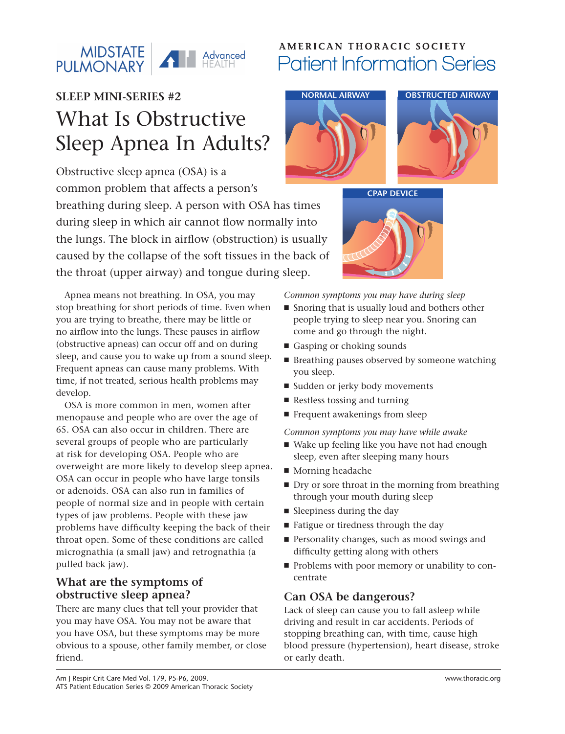#### MIDSTATE MIDSTATE **THE Advanced**

## **SLEEP MINI-SERIES #2** What Is Obstructive Sleep Apnea In Adults?

Obstructive sleep apnea (OSA) is a common problem that affects a person's breathing during sleep. A person with OSA has times during sleep in which air cannot flow normally into the lungs. The block in airflow (obstruction) is usually caused by the collapse of the soft tissues in the back of the throat (upper airway) and tongue during sleep.

Apnea means not breathing. In OSA, you may stop breathing for short periods of time. Even when you are trying to breathe, there may be little or no airflow into the lungs. These pauses in airflow (obstructive apneas) can occur off and on during sleep, and cause you to wake up from a sound sleep. Frequent apneas can cause many problems. With time, if not treated, serious health problems may develop.

OSA is more common in men, women after menopause and people who are over the age of 65. OSA can also occur in children. There are several groups of people who are particularly at risk for developing OSA. People who are overweight are more likely to develop sleep apnea. OSA can occur in people who have large tonsils or adenoids. OSA can also run in families of people of normal size and in people with certain types of jaw problems. People with these jaw problems have difficulty keeping the back of their throat open. Some of these conditions are called micrognathia (a small jaw) and retrognathia (a pulled back jaw).

#### **What are the symptoms of obstructive sleep apnea?**

There are many clues that tell your provider that you may have OSA. You may not be aware that you have OSA, but these symptoms may be more obvious to a spouse, other family member, or close friend.

### **AMERICAN THORACIC SOCIETY** Patient Information Series



**CPAP DEVICE**



*Common symptoms you may have during sleep*

- Snoring that is usually loud and bothers other people trying to sleep near you. Snoring can come and go through the night.
- Gasping or choking sounds
- Breathing pauses observed by someone watching you sleep.
- Sudden or jerky body movements
- Restless tossing and turning
- Frequent awakenings from sleep

*Common symptoms you may have while awake*

- Wake up feeling like you have not had enough sleep, even after sleeping many hours
- Morning headache
- Dry or sore throat in the morning from breathing through your mouth during sleep
- Sleepiness during the day
- Fatigue or tiredness through the day
- Personality changes, such as mood swings and difficulty getting along with others
- Problems with poor memory or unability to concentrate

#### **Can OSA be dangerous?**

Lack of sleep can cause you to fall asleep while driving and result in car accidents. Periods of stopping breathing can, with time, cause high blood pressure (hypertension), heart disease, stroke or early death.